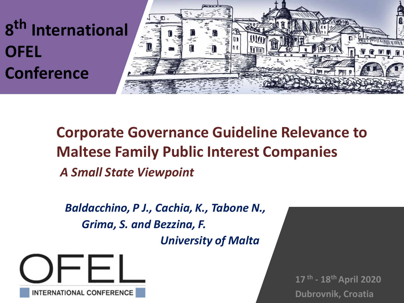

**Corporate Governance Guideline Relevance to Maltese Family Public Interest Companies**  *A Small State Viewpoint* 

*Baldacchino, P J., Cachia, K., Tabone N., Grima, S. and Bezzina, F. University of Malta*

**INTERNATIONAL CONFERENCE** 

**17 th - 18th April 2020 Dubrovnik, Croatia**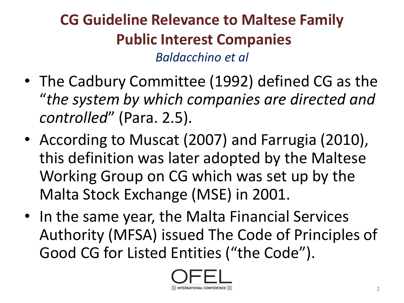- The Cadbury Committee (1992) defined CG as the "*the system by which companies are directed and controlled*" (Para. 2.5).
- According to Muscat (2007) and Farrugia (2010), this definition was later adopted by the Maltese Working Group on CG which was set up by the Malta Stock Exchange (MSE) in 2001.
- In the same year, the Malta Financial Services Authority (MFSA) issued The Code of Principles of Good CG for Listed Entities ("the Code").

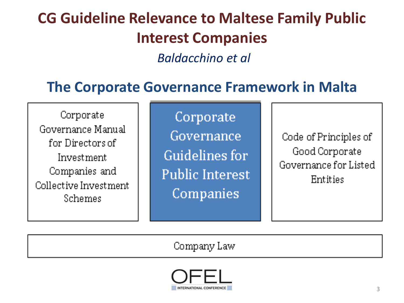*Baldacchino et al*

#### **The Corporate Governance Framework in Malta**

Corporate Governance Manual for Directors of Investment Companies and Collective Investment Schemes

Corporate Governance Guidelines for **Public Interest** Companies

Code of Principles of Good Corporate Governance for Listed Entities

Company Law

NTERNATIONAL CONFERENCE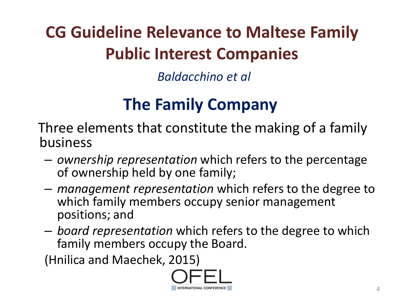*Baldacchino et al*

## **The Family Company**

Three elements that constitute the making of a family business

- *ownership representation* which refers to the percentage of ownership held by one family;
- *management representation* which refers to the degree to which family members occupy senior management positions; and
- *board representation* which refers to the degree to which family members occupy the Board.

(Hnilica and Maechek, 2015)

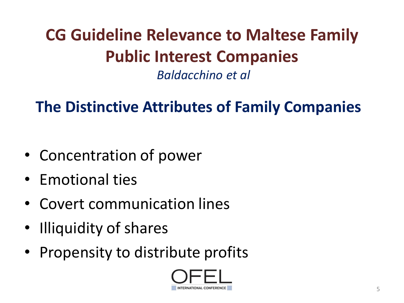*Baldacchino et al*

### **The Distinctive Attributes of Family Companies**

- Concentration of power
- Emotional ties
- Covert communication lines
- Illiquidity of shares
- Propensity to distribute profits

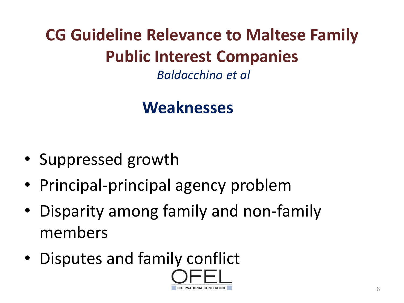*Baldacchino et al*

### **Weaknesses**

- Suppressed growth
- Principal-principal agency problem
- Disparity among family and non-family members
- Disputes and family conflict

6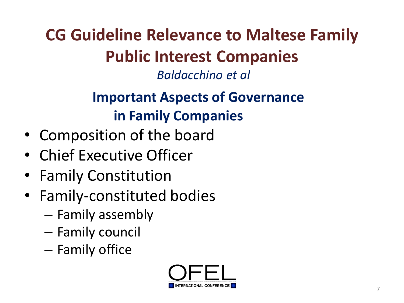*Baldacchino et al*

### **Important Aspects of Governance in Family Companies**

- Composition of the board
- Chief Executive Officer
- Family Constitution
- Family-constituted bodies
	- Family assembly
	- Family council
	- Family office

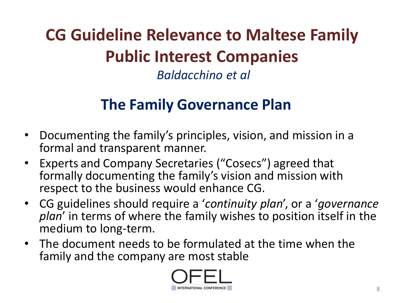*Baldacchino et al*

#### **The Family Governance Plan**

- Documenting the family's principles, vision, and mission in a formal and transparent manner.
- Experts and Company Secretaries ("Cosecs") agreed that formally documenting the family's vision and mission with respect to the business would enhance CG.
- CG guidelines should require a '*continuity plan*', or a '*governance plan*' in terms of where the family wishes to position itself in the medium to long-term.
- The document needs to be formulated at the time when the family and the company are most stable

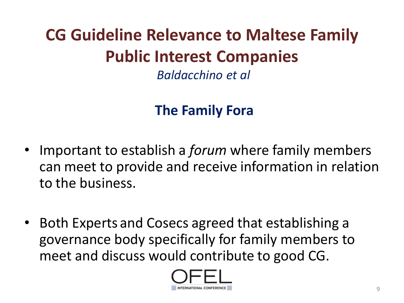*Baldacchino et al*

### **The Family Fora**

- Important to establish a *forum* where family members can meet to provide and receive information in relation to the business.
- Both Experts and Cosecs agreed that establishing a governance body specifically for family members to meet and discuss would contribute to good CG.

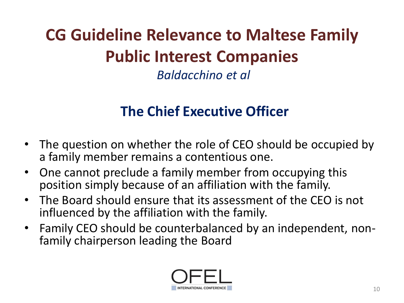*Baldacchino et al*

#### **The Chief Executive Officer**

- The question on whether the role of CEO should be occupied by a family member remains a contentious one.
- One cannot preclude a family member from occupying this position simply because of an affiliation with the family.
- The Board should ensure that its assessment of the CEO is not influenced by the affiliation with the family.
- Family CEO should be counterbalanced by an independent, nonfamily chairperson leading the Board

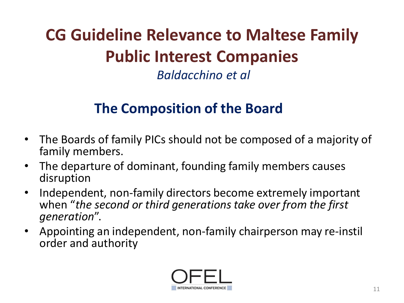*Baldacchino et al*

#### **The Composition of the Board**

- The Boards of family PICs should not be composed of a majority of family members.
- The departure of dominant, founding family members causes disruption
- Independent, non-family directors become extremely important when "*the second or third generations take over from the first generation*".
- Appointing an independent, non-family chairperson may re-instil order and authority

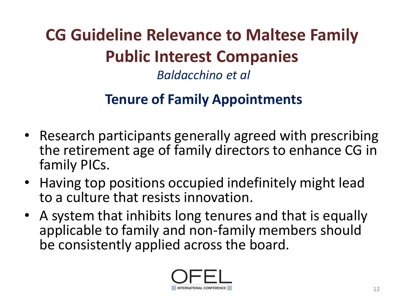## **Tenure of Family Appointments**

- Research participants generally agreed with prescribing the retirement age of family directors to enhance CG in family PICs.
- Having top positions occupied indefinitely might lead to a culture that resists innovation.
- A system that inhibits long tenures and that is equally applicable to family and non-family members should be consistently applied across the board.

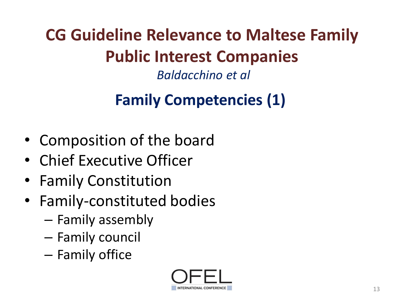*Baldacchino et al*

## **Family Competencies (1)**

- Composition of the board
- Chief Executive Officer
- Family Constitution
- Family-constituted bodies
	- Family assembly
	- Family council
	- Family office

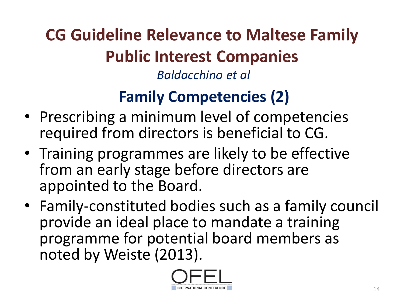### **Family Competencies (2)**

- Prescribing a minimum level of competencies required from directors is beneficial to CG.
- Training programmes are likely to be effective from an early stage before directors are appointed to the Board.
- Family-constituted bodies such as a family council provide an ideal place to mandate a training programme for potential board members as noted by Weiste (2013).

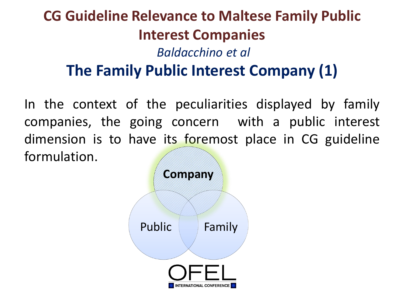### **CG Guideline Relevance to Maltese Family Public Interest Companies** *Baldacchino et al* **The Family Public Interest Company (1)**

In the context of the peculiarities displayed by family companies, the going concern with a public interest dimension is to have its foremost place in CG guideline formulation.

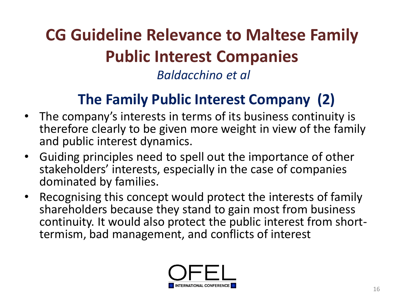### **The Family Public Interest Company (2)**

- The company's interests in terms of its business continuity is therefore clearly to be given more weight in view of the family and public interest dynamics.
- Guiding principles need to spell out the importance of other stakeholders' interests, especially in the case of companies dominated by families.
- Recognising this concept would protect the interests of family shareholders because they stand to gain most from business continuity. It would also protect the public interest from shorttermism, bad management, and conflicts of interest

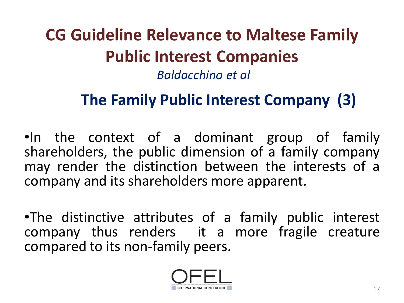### **The Family Public Interest Company (3)**

•In the context of a dominant group of family shareholders, the public dimension of a family company may render the distinction between the interests of a company and its shareholders more apparent.

•The distinctive attributes of a family public interest company thus renders it a more fragile creature compared to its non-family peers.

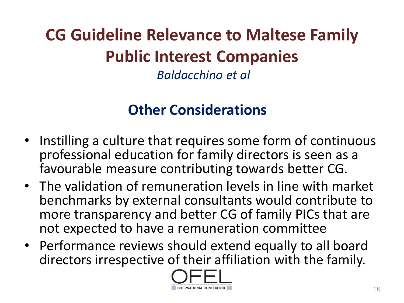*Baldacchino et al*

#### **Other Considerations**

- Instilling a culture that requires some form of continuous professional education for family directors is seen as a favourable measure contributing towards better CG.
- The validation of remuneration levels in line with market benchmarks by external consultants would contribute to more transparency and better CG of family PICs that are not expected to have a remuneration committee
- Performance reviews should extend equally to all board directors irrespective of their affiliation with the family.

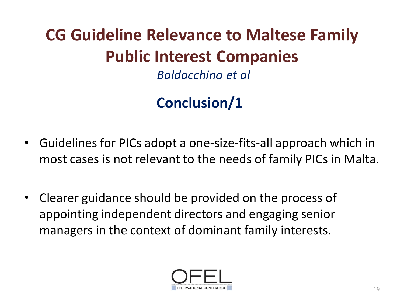*Baldacchino et al*

### **Conclusion/1**

- Guidelines for PICs adopt a one-size-fits-all approach which in most cases is not relevant to the needs of family PICs in Malta.
- Clearer guidance should be provided on the process of appointing independent directors and engaging senior managers in the context of dominant family interests.

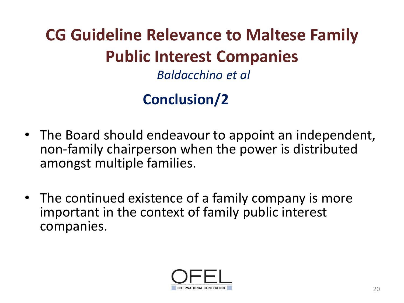#### **Conclusion/2**

- The Board should endeavour to appoint an independent, non-family chairperson when the power is distributed amongst multiple families.
- The continued existence of a family company is more important in the context of family public interest companies.